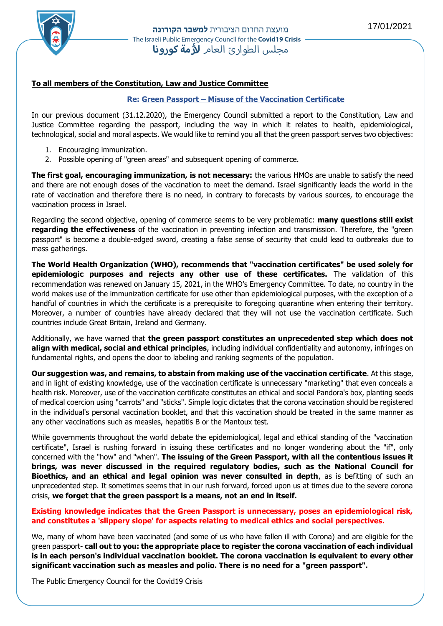

# **To all members of the Constitution, Law and Justice Committee**

# **Re: Green Passport – Misuse of the Vaccination Certificate**

In our previous document (31.12.2020), the Emergency Council submitted a report to the Constitution, Law and Justice Committee regarding the passport, including the way in which it relates to health, epidemiological, technological, social and moral aspects. We would like to remind you all that the green passport serves two objectives:

- 1. Encouraging immunization.
- 2. Possible opening of "green areas" and subsequent opening of commerce.

**The first goal, encouraging immunization, is not necessary:** the various HMOs are unable to satisfy the need and there are not enough doses of the vaccination to meet the demand. Israel significantly leads the world in the rate of vaccination and therefore there is no need, in contrary to forecasts by various sources, to encourage the vaccination process in Israel.

Regarding the second objective, opening of commerce seems to be very problematic: **many questions still exist regarding the effectiveness** of the vaccination in preventing infection and transmission. Therefore, the "green passport" is become a double-edged sword, creating a false sense of security that could lead to outbreaks due to mass gatherings.

**The World Health Organization (WHO), recommends that "vaccination certificates" be used solely for epidemiologic purposes and rejects any other use of these certificates.** The validation of this recommendation was renewed on January 15, 2021, in the WHO's Emergency Committee. To date, no country in the world makes use of the immunization certificate for use other than epidemiological purposes, with the exception of a handful of countries in which the certificate is a prerequisite to foregoing quarantine when entering their territory. Moreover, a number of countries have already declared that they will not use the vaccination certificate. Such countries include Great Britain, Ireland and Germany.

Additionally, we have warned that **the green passport constitutes an unprecedented step which does not align with medical, social and ethical principles**, including individual confidentiality and autonomy, infringes on fundamental rights, and opens the door to labeling and ranking segments of the population.

**Our suggestion was, and remains, to abstain from making use of the vaccination certificate**. At this stage, and in light of existing knowledge, use of the vaccination certificate is unnecessary "marketing" that even conceals a health risk. Moreover, use of the vaccination certificate constitutes an ethical and social Pandora's box, planting seeds of medical coercion using "carrots" and "sticks". Simple logic dictates that the corona vaccination should be registered in the individual's personal vaccination booklet, and that this vaccination should be treated in the same manner as any other vaccinations such as measles, hepatitis B or the Mantoux test.

While governments throughout the world debate the epidemiological, legal and ethical standing of the "vaccination certificate", Israel is rushing forward in issuing these certificates and no longer wondering about the "if", only concerned with the "how" and "when". **The issuing of the Green Passport, with all the contentious issues it brings, was never discussed in the required regulatory bodies, such as the National Council for Bioethics, and an ethical and legal opinion was never consulted in depth**, as is befitting of such an unprecedented step. It sometimes seems that in our rush forward, forced upon us at times due to the severe corona crisis, **we forget that the green passport is a means, not an end in itself.**

# **Existing knowledge indicates that the Green Passport is unnecessary, poses an epidemiological risk, and constitutes a 'slippery slope' for aspects relating to medical ethics and social perspectives.**

We, many of whom have been vaccinated (and some of us who have fallen ill with Corona) and are eligible for the green passport- **call out to you: the appropriate place to register the corona vaccination of each individual is in each person's individual vaccination booklet. The corona vaccination is equivalent to every other significant vaccination such as measles and polio. There is no need for a "green passport".** 

The Public Emergency Council for the Covid19 Crisis